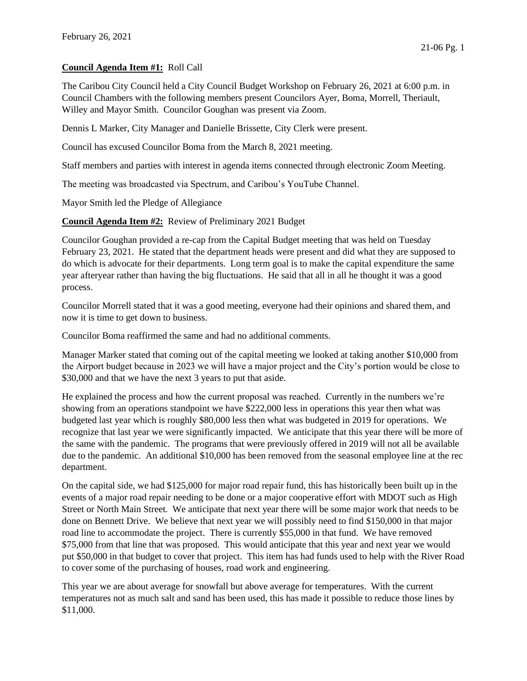## **Council Agenda Item #1:** Roll Call

The Caribou City Council held a City Council Budget Workshop on February 26, 2021 at 6:00 p.m. in Council Chambers with the following members present Councilors Ayer, Boma, Morrell, Theriault, Willey and Mayor Smith. Councilor Goughan was present via Zoom.

Dennis L Marker, City Manager and Danielle Brissette, City Clerk were present.

Council has excused Councilor Boma from the March 8, 2021 meeting.

Staff members and parties with interest in agenda items connected through electronic Zoom Meeting.

The meeting was broadcasted via Spectrum, and Caribou's YouTube Channel.

Mayor Smith led the Pledge of Allegiance

**Council Agenda Item #2:** Review of Preliminary 2021 Budget

Councilor Goughan provided a re-cap from the Capital Budget meeting that was held on Tuesday February 23, 2021. He stated that the department heads were present and did what they are supposed to do which is advocate for their departments. Long term goal is to make the capital expenditure the same year afteryear rather than having the big fluctuations. He said that all in all he thought it was a good process.

Councilor Morrell stated that it was a good meeting, everyone had their opinions and shared them, and now it is time to get down to business.

Councilor Boma reaffirmed the same and had no additional comments.

Manager Marker stated that coming out of the capital meeting we looked at taking another \$10,000 from the Airport budget because in 2023 we will have a major project and the City's portion would be close to \$30,000 and that we have the next 3 years to put that aside.

He explained the process and how the current proposal was reached. Currently in the numbers we're showing from an operations standpoint we have \$222,000 less in operations this year then what was budgeted last year which is roughly \$80,000 less then what was budgeted in 2019 for operations. We recognize that last year we were significantly impacted. We anticipate that this year there will be more of the same with the pandemic. The programs that were previously offered in 2019 will not all be available due to the pandemic. An additional \$10,000 has been removed from the seasonal employee line at the rec department.

On the capital side, we had \$125,000 for major road repair fund, this has historically been built up in the events of a major road repair needing to be done or a major cooperative effort with MDOT such as High Street or North Main Street. We anticipate that next year there will be some major work that needs to be done on Bennett Drive. We believe that next year we will possibly need to find \$150,000 in that major road line to accommodate the project. There is currently \$55,000 in that fund. We have removed \$75,000 from that line that was proposed. This would anticipate that this year and next year we would put \$50,000 in that budget to cover that project. This item has had funds used to help with the River Road to cover some of the purchasing of houses, road work and engineering.

This year we are about average for snowfall but above average for temperatures. With the current temperatures not as much salt and sand has been used, this has made it possible to reduce those lines by \$11,000.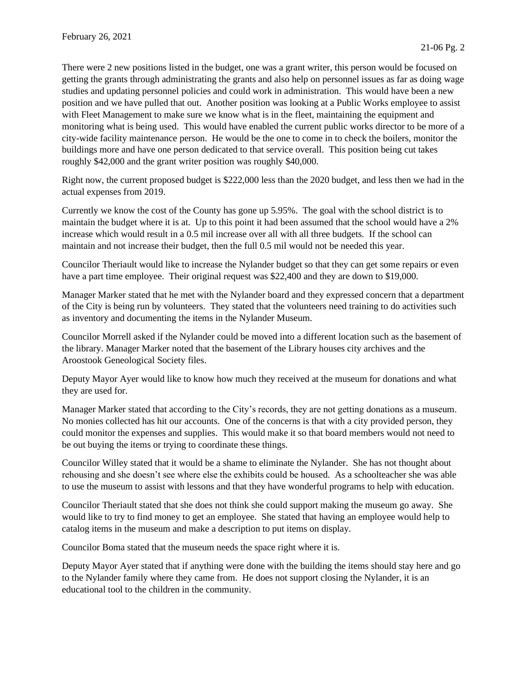There were 2 new positions listed in the budget, one was a grant writer, this person would be focused on getting the grants through administrating the grants and also help on personnel issues as far as doing wage studies and updating personnel policies and could work in administration. This would have been a new position and we have pulled that out. Another position was looking at a Public Works employee to assist with Fleet Management to make sure we know what is in the fleet, maintaining the equipment and monitoring what is being used. This would have enabled the current public works director to be more of a city-wide facility maintenance person. He would be the one to come in to check the boilers, monitor the buildings more and have one person dedicated to that service overall. This position being cut takes roughly \$42,000 and the grant writer position was roughly \$40,000.

Right now, the current proposed budget is \$222,000 less than the 2020 budget, and less then we had in the actual expenses from 2019.

Currently we know the cost of the County has gone up 5.95%. The goal with the school district is to maintain the budget where it is at. Up to this point it had been assumed that the school would have a 2% increase which would result in a 0.5 mil increase over all with all three budgets. If the school can maintain and not increase their budget, then the full 0.5 mil would not be needed this year.

Councilor Theriault would like to increase the Nylander budget so that they can get some repairs or even have a part time employee. Their original request was \$22,400 and they are down to \$19,000.

Manager Marker stated that he met with the Nylander board and they expressed concern that a department of the City is being run by volunteers. They stated that the volunteers need training to do activities such as inventory and documenting the items in the Nylander Museum.

Councilor Morrell asked if the Nylander could be moved into a different location such as the basement of the library. Manager Marker noted that the basement of the Library houses city archives and the Aroostook Geneological Society files.

Deputy Mayor Ayer would like to know how much they received at the museum for donations and what they are used for.

Manager Marker stated that according to the City's records, they are not getting donations as a museum. No monies collected has hit our accounts. One of the concerns is that with a city provided person, they could monitor the expenses and supplies. This would make it so that board members would not need to be out buying the items or trying to coordinate these things.

Councilor Willey stated that it would be a shame to eliminate the Nylander. She has not thought about rehousing and she doesn't see where else the exhibits could be housed. As a schoolteacher she was able to use the museum to assist with lessons and that they have wonderful programs to help with education.

Councilor Theriault stated that she does not think she could support making the museum go away. She would like to try to find money to get an employee. She stated that having an employee would help to catalog items in the museum and make a description to put items on display.

Councilor Boma stated that the museum needs the space right where it is.

Deputy Mayor Ayer stated that if anything were done with the building the items should stay here and go to the Nylander family where they came from. He does not support closing the Nylander, it is an educational tool to the children in the community.